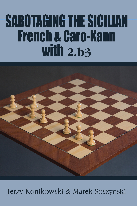## **SABOTAGING THE SICILIAN French & Caro-Kann** with  $2.b3$



Jerzy Konikowski & Marek Soszynski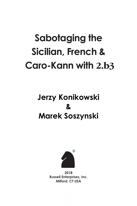# **Sabotaging the Sicilian, French & Caro-Kann with 2.b3**

## **Jerzy Konikowski & Marek Soszynski**



**2018 Russell Enterprises, Inc. Milford, CT USA**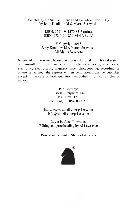Sabotaging the Sicilian, French and Caro-Kann with 2.b3 by Jerzy Konikowski & Marek Soszynski

> ISBN: 978-1-941270-83-7 (print) ISBN: 978-1-941270-84-4 (eBook)

© Copyright 2018 Jerzy Konikowski & Marek Soszynski All Rights Reserved

No part of this book may be used, reproduced, stored in a retrieval system or transmitted in any manner or form whatsoever or by any means, electronic, electrostatic, magnetic tape, photocopying, recording or otherwise, without the express written permission from the publisher except in the case of brief quotations embodied in critical articles or reviews.

> Published by: Russell Enterprises, Inc. P.O. Box 3131 Milford, CT 06460 USA

http://www.russell-enterprises.com info@russell-enterprises.com

Cover by Janel Lowrance Editing and proofreading by Al Lawrence

Printed in the United States of America

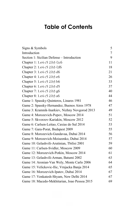## **Table of Contents**

| Signs & Symbols                                | 5  |
|------------------------------------------------|----|
| Introduction                                   | 7  |
| Section 1: Sicilian Defense – Introduction     | 9  |
| Chapter 1: 1.e4 c5 2.b3 2c6                    | 11 |
| Chapter 2: 1.e4 c5 2.b3 公f6                    | 18 |
| Chapter 3: 1.e4 c5 2.b3 d6                     | 21 |
| Chapter 4: 1.e4 c5 2.b3 e6                     | 26 |
| Chapter 5: 1.e4 c5 2.b3 b6                     | 33 |
| Chapter 6: 1.e4 c5 2.b3 d5                     | 37 |
| Chapter 7: 1.e4 c5 2.b3 g6                     | 40 |
| Chapter 8: 1.e4 c5 2.b3 a6                     | 44 |
| Game 1: Spassky-Quinteros, Linares 1981        | 46 |
| Game 2: Spassky-Hernandez, Buenos Aires 1978   | 47 |
| Game 3: Kramnik-Inarkiev, Nizhny Novgorod 2013 | 49 |
| Game 4: Morozevich-Popov, Moscow 2014          | 51 |
| Game 5: Skvorzov-Kariakin, Moscow 2012         | 52 |
| Game 6: Carlsen-Leitao, Caxias do Sul 2014     | 53 |
| Game 7: Gara-Porat, Budapest 2009              | 55 |
| Game 8: Morozevich-Gundavaa, Dubai 2014        | 56 |
| Game 9: Morozevich-Moiseenko, Dubai 2014       | 57 |
| Game 10: Gelashvili-Arutinian, Tbilisi 2001    | 59 |
| Game 11: Carlsen-Svidler, Moscow 2009          | 60 |
| Game 12: Morozevich-Potkin, Moscow 2014        | 61 |
| Game 13: Gelashvili-Arman, Batumi 2002         | 63 |
| Game 14: Aronian-Van Wely, Monte Carlo 2006    | 64 |
| Game 15: Velickovic-Ilic, Vrnjacka Banja 2014  | 65 |
| Game 16: Morozevich-Ipatov, Dubai 2014         | 67 |
| Game 17: Venkatesh-Shyam, New Delhi 2014       | 67 |
| Game 18: Macedo-Mekhitarian, Joao Pessoa 2015  | 69 |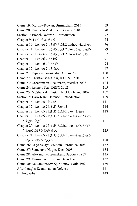| Game 19: Murphy-Rowan, Birmingham 2015             | 69  |
|----------------------------------------------------|-----|
| Game 20: Paichadze-Yakovich, Kavala 2010           | 70  |
| Section 2: French Defense - Introduction           | 72  |
| Chapter 9: 1.e4 e6 2.b3 e5                         | 74  |
| Chapter 10: 1.e4 e6 2.b3 d5 3. b2 without 3d×e4    | 76  |
| Chapter 11: 1.e4 e6 2.b3 d5 3. b2 dxe4 4. c3 \$f6  | 79  |
| Chapter 12: 1.e4 e6 2.b3 d5 3. b2 dxe4 4. ac3 f5   | 87  |
| Chapter 13: 1.e4 e6 2.b3 b6                        | 91  |
| Chapter 14: 1.e4 e6 2.b3 公f6                       | 94  |
| Chapter 15: 1.e4 e6 2.b3 2c6                       | 97  |
| Game 21: Papaioannou-Atalik, Athens 2001           | 100 |
| Game 22: Christiansen-Kraai, ICC INT 2010          | 102 |
| Game 23: Grochtmann-Beckmann, Werther 2008         | 104 |
| Game 24: Rennert-Ster, DESC 2002                   | 105 |
| Game 25: McShane-D'Costa, Hinckley Island 2009     | 107 |
| Section 3: Caro-Kann Defense - Introduction        | 109 |
| Chapter 16: 1.e4 c6 2.b3 e5                        | 111 |
| Chapter 17: 1.e4 c6 2.b3 d5 3.exd5                 | 114 |
| Chapter 18: 1.e4 c6 2.b3 d5 3.@b2 dxe4 4.2e2       | 118 |
| Chapter 19: 1.e4 c6 2.b3 d5 3. b2 dxe4 4. f2c3 公f6 |     |
| 5.ඩge2 <u>Ag4</u>                                  | 121 |
| Chapter 20: 1.e4 c6 2.b3 d5 3.@b2 dxe4 4.2c3 2f6   |     |
| 5.2ge2 Af5 6.2g3 Ag6                               | 125 |
| Chapter 21: 1.e4 c6 2.b3 d5 3. b2 dxe4 4. ac3 af6  |     |
| 5. නි ලෙ2 කී1 5 6. නි ලූ3 e6                       | 128 |
| Game 26: Orlyanskaya-Volodin, Pardubice 2008       | 132 |
| Game 27: Semenova-Nogin, Kiev 2008                 | 134 |
| Game 28: Alexandria-Heemskerk, Subotica 1967       | 135 |
| Game 29: Vasiukov-Bronstein, Baku 1961             | 137 |
| Game 30: Kaikamdzozov-Spiridonov, Sofia 1964       | 139 |
| Afterthought: Scandinavian Defense                 | 141 |
| Bibliography                                       | 143 |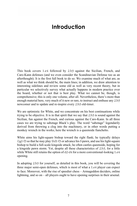## **Introduction**

This book covers 1.e4 followed by 2.b3 against the Sicilian, French, and Caro-Kann defenses (and we even consider the Scandinavian Defense too as an afterthought). It is the first full book to do so. We examine much of what are, as well as what we think should be, the main lines; in addition, we draw attention to interesting sidelines and review some old as well as very recent theory, but in particular we selectively survey what actually happens in modern practice over the board, whether or not that is best play. What we cannot be, though, is comprehensive; this is only one volume, after all. Nevertheless, there's more than enough material here, very much of it new or rare, to instruct and enthuse any 2.b3 newcomer and to update and re-inspire every 2.b3 old-timer.

We are optimistic for White, and we concentrate on his best continuations while trying to be objective. It is in that spirit that we say that 2.b3 is sound against the Sicilian, fun against the French, and curious against the Caro-Kann. In all three cases we are trying to sabotage Black's play. The word "sabotage" legendarily derived from throwing a clog into the machinery, or in other words putting a monkey wrench in the works; here the wrench is a queenside fianchetto.

White aims his light-square bishop toward the right flank; he typically delays  $\text{Q}q1-f3$  so that he may play  $\mathcal{Q}d1-f3$  or advance his f-pawn, and use his light-square bishop to build a full-scale kingside attack; he often castles queenside, hoping for a kingside pawn storm. Yet, despite all these characteristics of 2.b3, for a little while White still retains the option of  $d2-d4$  for a more conventional-looking 1.e4 opening.

In adopting 2.b3 for yourself, as detailed in this book, you will be covering the three major semi-open defenses, which is most of what a 1.e4 player can expect to face. Moreover, with the rise of speedier chess – Armageddon deciders, online lightning, and so on – all players ought to have opening surprises in their arsenal.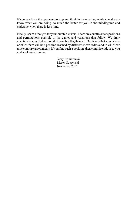If you can force the opponent to stop and think in the opening, while you already know what you are doing, so much the better for you in the middlegame and endgame when there is less time.

Finally, spare a thought for your humble writers. There are countless transpositions and permutations possible in the games and variations that follow. We draw attention to some but we couldn't possibly flag them all. Our fear is that somewhere or other there will be a position reached by different move orders and to which we give contrary assessments. If you find such a position, then commiserations to you and apologies from us.

> Jerzy Konikowski Marek Soszynski November 2017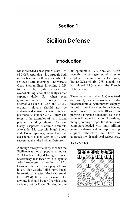### **Section 1**

## **Sicilian Defense**

#### **Introduction**

Most recorded chess games start 1.e4 c5 2. $\triangle$ f3. After that it is a struggle both in practice and in theory for White to achieve a safe advantage. The various Open Sicilian lines involving  $2.\text{\textcircled{}}13$ followed by 3.d4 attract an overwhelming amount of analysis that expands daily. So, when even grandmasters are exploring exotic alternatives such as  $2.a3$  and  $2.\overline{2}a3$ , ordinary players should not be embarrassed at using the less exotic and positionally sounder 2.b3 – they can refer to the examples of very strong players including Magnus Carlsen, Garry Kasparov, Vladimir Kramnik, Alexander Morozevich, Nigel Short, and Boris Spassky, who have all occasionally played 2.b3 or 3.b3 with success against the Sicilian Defense.

Although rare (particularly so when the Sicilian was not as popular as now), 2.b3 has been played for ages. Lionel Kieseritzky lost twice with it against Adolf Anderssen in London in 1851. However, the first strong player to use it very often was the Polish-born, Israeli International Master, Moshe Czerniak (1910-1984). If the line is named for anyone, it should be for Czerniak (and certainly not for Robert Snyder, despite his eponymous 1977 booklet). More recently, the strongest grandmaster to employ it the most is the Georgian, Tamaz Gelashvili (b. 1978); notably, he has played 2.b3 against the French Defense too.

There were times when 2.b3 was tried out simply as a reasonable, antitheoretical move, with improvised play by both sides thereafter. In particular, White hoped to dissuade Black from playing a kingside fianchetto, as in the popular Dragon Variation. Nowadays, though, nothing escapes the attention of computers loaded with multi-million game databases and multi-processing engines. Therefore, we have to approach it with analytical seriousness.

#### **1.e4 c5 2.b3**

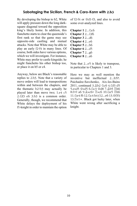#### **Sabotaging the Sicilian, French & Caro-Kann with 2.b3**

By developing the bishop to b2, White will apply pressure down the long darksquare diagonal toward the opposition king's likely home. In addition, this fianchetto starts to clear the queenside's first rank so that the game may see opposite-side castling and mutual attacks. Note that White may be able to play an early f2-f4 in many lines. Of course, both sides have various options, which we will investigate. For instance, White may prefer to castle kingside; he might fianchetto his other bishop too, or place it on b5 or c4.

Anyway, below are Black's reasonable replies to 2.b3. Note that a variety of move orders will lead to transpositions within and between the chapters, and the thematic b2-b3 may actually be played later than move two; 1.e4 c5  $2.\&$  f3 e6 3.b3 is a common order. Generally, though, we recommend that White delays the deployment of his f1-knight in order to maintain the option

of f2-f4 or \dd1-f3, and also to avoid some over-analyzed lines.

**Chapter 1** 2... 2c6 **Chapter 2** 2... 2f6 **Chapter 3** 2...d6 **Chapter 4** 2...e6 **Chapter 5** 2...b6 **Chapter 6** 2...d5 **Chapter 7** 2...g6 **Chapter 8** 2...a6

Note that 2...e5 is likely to transpose, in particular to Chapters 1 and 3.

Here we may as well mention the inventive but ineffectual 2...h5?!. Paichadze-Savchenko, Aix-les-Bains 2011, continued 3. Ab2 2c6 4. 2f3 d5 5.exd5 @xd5 6.2c3 @d8 7.0b5 Eh6 8.0-0 a6 9. xc6+ Exc6 10. 2e5 Eh6 11. <del>e</del>4 f6 12. e4 h4 (12...e6 13. 曾f3!) 13. $\mathbb{E}e1 \pm$ . Black got lucky later, when White went wrong after sacrificing a knight.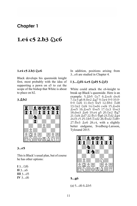### **Chapter 1**

## 1.e4 c5 2.b3  $\&$  c6

#### **1.e4 c5 2.b3 2c6**

Black develops his queenside knight first, most probably with the idea of supporting a pawn on e5 to cut the scope of the bishop that White is about to place on b2.

#### **3.Bb2**



#### **3...e5**

This is Black's usual plan, but of course he has other options:

 $I 3...$ ାତ **II** 3...a6 **III** 3...d5 **IV** 3...d6 In addition, positions arising from 3...e6 are studied in Chapter 4.

#### **I 3...**@f6 4.e5 @d5 5.@f3

White could attack the c6-knight to break up Black's queenside. Here is an example: 5. hp5 \&c7 6. Axc6 dxc6 7.ඩc3 g6 8.ෂීe2 এg7 9.ඩe4 0-0 10.0-0-0 公e6 11. 曾e3 曾a5 12. 曾b1 Ed8 13.2e2 2d4 14.2xd4 cxd4 15.2xd4 ⊉×e5 16.⊉×e5 ≌×e5 17.©c3 ≌×e3 18.dxe3 Be6 19.e4 g5 20.Ne2 Kg7 21.2d4 Ad7 22. c1 \$g6 23. d2 Ag4 24.f3 c5 25. b5  $\mathbb{Z}$ xd2 26. \$xd2  $\mathbb{Z}$ d8+  $27.\text{Re}3 \trianglelefteq 28.c4$ , with a slightly better endgame, Svedberg-Larsson, Tylosand 2015.



#### **5...g6**

 $(a)$  5...d6 6. $\&$ b5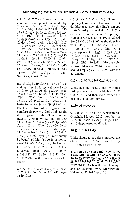#### **Sabotaging the Sicilian, French & Caro-Kann with 2.b3**

(a1)  $6 \ldots \& d7$  7.exd $6 \text{ e}6$  (Black must complete development but could try  $7...$ exd6 8.0-0  $2e7$  9. $2xg7$   $2g8$ 10.Ah6 Ah3 11.De1 @d7 12.@h1 Af6 13.c3  $\&xg2+14.\&xg2 \&h3 15.\&e2+$  $\&$ de7 16.f4  $\&$ ×h6 17. $\&$ xc6+ bxc6 18.2a3 0-0-0 etc.) 8.2c3 2f6 9.d4 **Axd6 10.0-0 cxd4 11. Axd4 皆c7** 12. xc6 bxc6 13.h3 0-0 14. f3 Ah2+ 15. h1 真e5 16. Ead1 a6 17. sd3 Efd8 18.2f3 Ae8 19. fc4 Ad6 20. De4 2xe4 21. txe4 營e7 22. 且fe1 Qc5 23. 營g4 f6  $24.\text{\textdegreeled{2}}d4$   $\text{\textdegreeled{4}}\times d4$   $25.\text{\textdegreeled{2}}\times d4$   $\text{\textdegreeled{2}}\times d4$ (25.... 17!?) 26. 曾xd4 雷f7? (26... e5) 27.營e4 h6 28. e3 且d8 29.  $\&x$ f6! g×f6 (29... @xf6 30. gf3+-) 30. @h7+ \$f8 31. bh8+ 當f7 32. 置g3 1-0 Yap-Sasikiran, Al-Ain 2014.

 $(a2)$  6... $\& g4$  7.h3  $\& h5$  8. $\& c3$   $\& h4$  (the ending after  $8...$   $2 \times C3$   $9$ .  $2 \times C6 +$  b $\times C6$ 10. xc3 d5 11.e6! d4 12. 2e5! Ag6 13.exf7+  $\&xf7$  14.  $\&xf7$   $\&xf7$  15.  $\&f3$ + 雷g8 16.營×c6 營c8 17.營×c8 耳×c8 18. b2 g6 19. se2  $\&$  g7 20. sd3 is better for White) 9.g4 (if 9.g3  $\&e6$  and Black's control of d4 gives him comfortable play) 9... @g6 10.d4 a6 (in the game Short-Thorfinnsson, Reykjavik 2000, White, after 10...e6? 11. d2 5d5 12. 5xd5 exd5 13.0-0-0  $\Delta$ e4 14. $\Xi$ he1!  $\Delta$ b6 15. $\Delta$ xc6+  $\Delta$ xc6  $16.$   $\Diamond$   $\Diamond$  5, achieved a decisive advantage)  $11.4 \times C$ 6+ bxc6 12.dxc5 dxc5 13. $C$ c1  $\triangle$ d5 (13... $\triangle$ e6!?, eyeing d4, must surely be better)  $14.\triangle h4$  (14.e6 f6! is not so clear)  $14...e6$  15. $\&$ xg6 hxg6 16. $\&$ e4 c4! (16... @a5+ 17. @d2 2b4 18. @f1! ± Skvorzov-Barski 2012) 17.bxc4 (17. f1!?) 17... @a5+ 18. @d2 @a4 19.營e2  $\Xi$ b8, with counter-chances for Black.

 $(a3)$  6...\btdot 7.a4 (7. $\&$ a4!?) 7...a6 8.a5  $\degree$ c7 9. $\&xc6+$   $\degree$ xc6 10.exd6  $\&gx4$ 11.h3 lh5∞.

(b)  $5...e6$  6. $\⊂>bb5$   $(6.\⊂>c3$  Game 1: Spassky-Quinteros, Linares 1981)  $6...$  ob6 (see how this line's expert, Boris Spassky, responded to 6...Be7 in our next example, Game 2: Spassky-Hernandez, Buenos Aires 1978) 7. $\&x$ c6  $\mathcal{Q}\times\mathcal{C}6$  8.0-0 a6 9.c4 (White should strike with 9.d4!?) 9... f4 10.d4 cxd4 11. ac1  $(11.4 \times d4 \text{ b}6 \quad 12.4 \times d3 \quad \text{Ab7}, \text{ with}$ counterplay) 11... <a>
<sub>996</sub> 12. <a>
12. <a>
12. <a>
12. <a>
<sub>12.</sub></a>
<sub>12.</sub> <a>
<sub>12.</sub> <a>
<sub>12.</sub> <a>
<sub>12.</sub> <a>
<sub>12.</sub> <a>
<sub>12.</sub> <a>
<sub>12.</sub></a>
<sub>12.</sub> <a>
<sub>12.</sub> <a>
<sub>14</sub></a>
<sub>14</sub></a>
<sub>14</sub></a>
<sub>14</sub></a>
<sub>14</sub></a>
<sub>14</sub></a>
<sub>14</sub></ 13. a3 b6 14. 2xd4 ec7 15. ab2 ab7 16. g4 h5 17. g5 de7 18. ge3 h4 19.h3  $\Sigma$ h5 20. 2d2, Morozevich-Kretov, Moscow 2014; now Black should simply play  $20 \dots \mathbb{Z} \times 5!$ , with the advantage.

#### **6.Bc4 Nb6 7.Bb5 Bg7 8.Bxc6**

White does not need to part with this bishop so readily. He could play 8.0-0!? 0-0 9. $\Xi$ e1, and then even retreat the bishop to f1 as appropriate.

#### **8...bxc6 9.0-0 c4**

9...0-0 10. Le1 d6 11.h3 a5 Nakamura-Grischuk, Moscow 2012; now best is 12.exd6!? exd6 13. $\&$ xg7  $\&$ xg7 14.c4  $a4$  15. $\&c3$ , intending d2-d4.

#### **10.Re1 0-0 11.d3**

White should force a decision about the c4-pawn with  $11.$   $\&e2$ , not fearing  $11...4a6$   $12.5a3$   $c3$ , etc.

**11...c×d3 12.曾×d3 d6 13.c4 d×e5** 14.sxd8  $\ddot{z} \times d8$  15. $\Diamond \times e5$   $\Diamond$ f5 16.f4 Ad7 17. a3 A × e5 18. A × e5 **g**f8 19.h3 h5 20. b1 f6 21. gb2 **Ef7 22.4 c3 e6** with the advantage and an eventual win, Morozevich-Nakamura, Dubai (rapid) 2014.